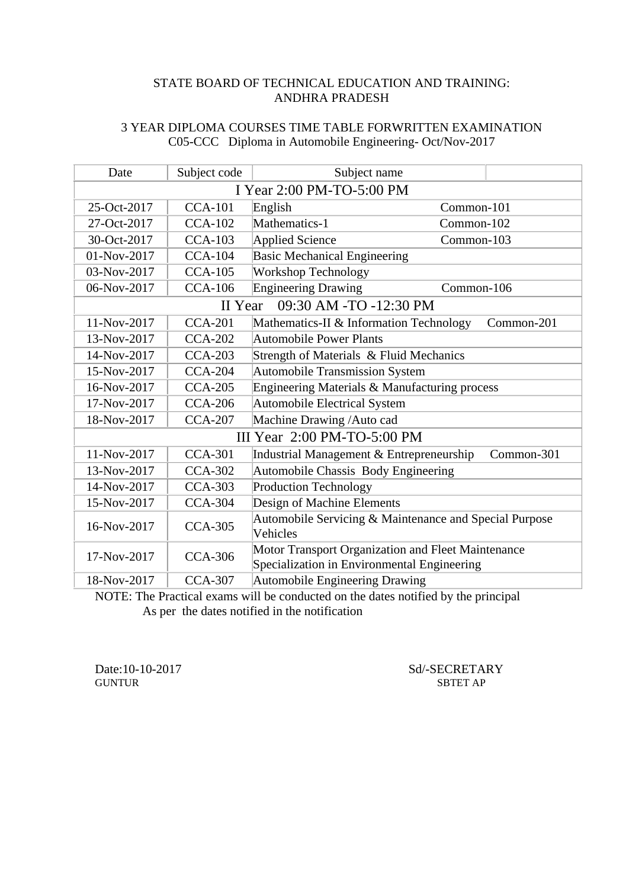## 3 YEAR DIPLOMA COURSES TIME TABLE FORWRITTEN EXAMINATION C05-CCC Diploma in Automobile Engineering- Oct/Nov-2017

| Date                      | Subject code   | Subject name                                                                                      |            |  |
|---------------------------|----------------|---------------------------------------------------------------------------------------------------|------------|--|
| I Year 2:00 PM-TO-5:00 PM |                |                                                                                                   |            |  |
| 25-Oct-2017               | <b>CCA-101</b> | English<br>Common-101                                                                             |            |  |
| 27-Oct-2017               | <b>CCA-102</b> | Mathematics-1<br>Common-102                                                                       |            |  |
| 30-Oct-2017               | $CCA-103$      | Applied Science<br>Common-103                                                                     |            |  |
| 01-Nov-2017               | <b>CCA-104</b> | <b>Basic Mechanical Engineering</b>                                                               |            |  |
| 03-Nov-2017               | <b>CCA-105</b> | <b>Workshop Technology</b>                                                                        |            |  |
| 06-Nov-2017               | <b>CCA-106</b> | <b>Engineering Drawing</b><br>Common-106                                                          |            |  |
|                           | II Year        | 09:30 AM -TO -12:30 PM                                                                            |            |  |
| 11-Nov-2017               | <b>CCA-201</b> | Mathematics-II & Information Technology                                                           | Common-201 |  |
| 13-Nov-2017               | <b>CCA-202</b> | <b>Automobile Power Plants</b>                                                                    |            |  |
| 14-Nov-2017               | <b>CCA-203</b> | Strength of Materials & Fluid Mechanics                                                           |            |  |
| 15-Nov-2017               | <b>CCA-204</b> | <b>Automobile Transmission System</b>                                                             |            |  |
| 16-Nov-2017               | <b>CCA-205</b> | Engineering Materials & Manufacturing process                                                     |            |  |
| 17-Nov-2017               | <b>CCA-206</b> | Automobile Electrical System                                                                      |            |  |
| 18-Nov-2017               | <b>CCA-207</b> | Machine Drawing / Auto cad                                                                        |            |  |
|                           |                | III Year 2:00 PM-TO-5:00 PM                                                                       |            |  |
| 11-Nov-2017               | <b>CCA-301</b> | Industrial Management & Entrepreneurship                                                          | Common-301 |  |
| 13-Nov-2017               | <b>CCA-302</b> | Automobile Chassis Body Engineering                                                               |            |  |
| 14-Nov-2017               | <b>CCA-303</b> | <b>Production Technology</b>                                                                      |            |  |
| 15-Nov-2017               | <b>CCA-304</b> | Design of Machine Elements                                                                        |            |  |
| 16-Nov-2017               | <b>CCA-305</b> | Automobile Servicing & Maintenance and Special Purpose<br>Vehicles                                |            |  |
| 17-Nov-2017               | <b>CCA-306</b> | Motor Transport Organization and Fleet Maintenance<br>Specialization in Environmental Engineering |            |  |
| 18-Nov-2017               | $CCA-307$      | <b>Automobile Engineering Drawing</b>                                                             |            |  |

NOTE: The Practical exams will be conducted on the dates notified by the principal As per the dates notified in the notification

**GUNTUR** 

Date:10-10-2017 Sd/-SECRETARY<br>GUNTUR SBTET AP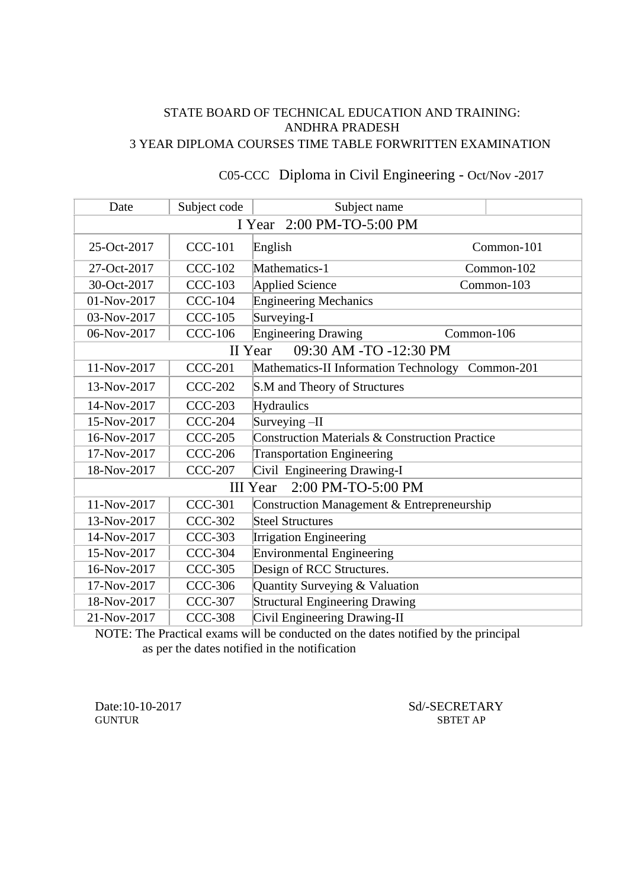## STATE BOARD OF TECHNICAL EDUCATION AND TRAINING: ANDHRA PRADESH 3 YEAR DIPLOMA COURSES TIME TABLE FORWRITTEN EXAMINATION

| Date                                  | Subject code   | Subject name                                              |            |  |
|---------------------------------------|----------------|-----------------------------------------------------------|------------|--|
| I Year 2:00 PM-TO-5:00 PM             |                |                                                           |            |  |
| 25-Oct-2017                           | <b>CCC-101</b> | English                                                   | Common-101 |  |
| 27-Oct-2017                           | <b>CCC-102</b> | Mathematics-1                                             | Common-102 |  |
| 30-Oct-2017                           | <b>CCC-103</b> | Applied Science                                           | Common-103 |  |
| 01-Nov-2017                           | <b>CCC-104</b> | <b>Engineering Mechanics</b>                              |            |  |
| 03-Nov-2017                           | <b>CCC-105</b> | Surveying-I                                               |            |  |
| 06-Nov-2017                           | <b>CCC-106</b> | <b>Engineering Drawing</b><br>Common-106                  |            |  |
|                                       |                | 09:30 AM -TO -12:30 PM<br>II Year                         |            |  |
| 11-Nov-2017                           | <b>CCC-201</b> | Mathematics-II Information Technology                     | Common-201 |  |
| 13-Nov-2017                           | <b>CCC-202</b> | S.M and Theory of Structures                              |            |  |
| 14-Nov-2017                           | <b>CCC-203</b> | Hydraulics                                                |            |  |
| 15-Nov-2017                           | <b>CCC-204</b> | Surveying $-II$                                           |            |  |
| 16-Nov-2017                           | <b>CCC-205</b> | <b>Construction Materials &amp; Construction Practice</b> |            |  |
| 17-Nov-2017                           | <b>CCC-206</b> | <b>Transportation Engineering</b>                         |            |  |
| 18-Nov-2017                           | <b>CCC-207</b> | Civil Engineering Drawing-I                               |            |  |
| 2:00 PM-TO-5:00 PM<br><b>III</b> Year |                |                                                           |            |  |
| 11-Nov-2017                           | <b>CCC-301</b> | Construction Management & Entrepreneurship                |            |  |
| 13-Nov-2017                           | <b>CCC-302</b> | Steel Structures                                          |            |  |
| 14-Nov-2017                           | <b>CCC-303</b> | <b>Irrigation Engineering</b>                             |            |  |
| 15-Nov-2017                           | <b>CCC-304</b> | Environmental Engineering                                 |            |  |
| 16-Nov-2017                           | <b>CCC-305</b> | Design of RCC Structures.                                 |            |  |
| 17-Nov-2017                           | <b>CCC-306</b> | Quantity Surveying & Valuation                            |            |  |
| 18-Nov-2017                           | <b>CCC-307</b> | <b>Structural Engineering Drawing</b>                     |            |  |
| 21-Nov-2017                           | <b>CCC-308</b> | Civil Engineering Drawing-II                              |            |  |

# C05-CCC Diploma in Civil Engineering - Oct/Nov -2017

NOTE: The Practical exams will be conducted on the dates notified by the principal as per the dates notified in the notification

Date:10-10-2017 Sd/-SECRETARY<br>GUNTUR SBTET AP SBTET AP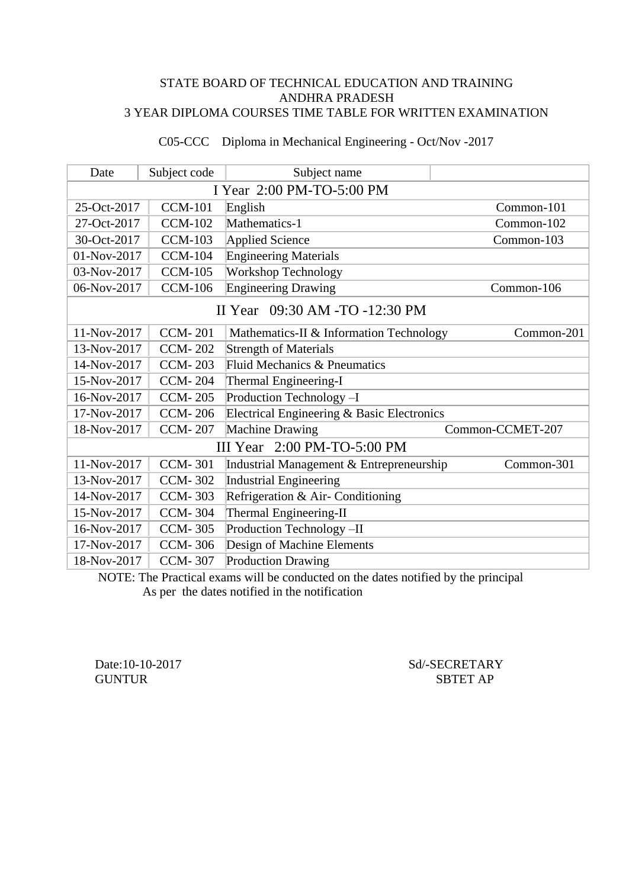#### STATE BOARD OF TECHNICAL EDUCATION AND TRAINING ANDHRA PRADESH 3 YEAR DIPLOMA COURSES TIME TABLE FOR WRITTEN EXAMINATION

| Date                           | Subject code<br>Subject name |                                            |                  |  |
|--------------------------------|------------------------------|--------------------------------------------|------------------|--|
| I Year 2:00 PM-TO-5:00 PM      |                              |                                            |                  |  |
| 25-Oct-2017                    | <b>CCM-101</b>               | English                                    | Common-101       |  |
| 27-Oct-2017                    | <b>CCM-102</b>               | Mathematics-1                              | Common-102       |  |
| 30-Oct-2017                    | <b>CCM-103</b>               | Applied Science                            | Common-103       |  |
| 01-Nov-2017                    | <b>CCM-104</b>               | <b>Engineering Materials</b>               |                  |  |
| 03-Nov-2017                    | <b>CCM-105</b>               | <b>Workshop Technology</b>                 |                  |  |
| 06-Nov-2017                    | <b>CCM-106</b>               | <b>Engineering Drawing</b>                 | Common-106       |  |
| II Year 09:30 AM -TO -12:30 PM |                              |                                            |                  |  |
| 11-Nov-2017                    | <b>CCM-201</b>               | Mathematics-II & Information Technology    | Common-201       |  |
| 13-Nov-2017                    | <b>CCM-202</b>               | <b>Strength of Materials</b>               |                  |  |
| 14-Nov-2017                    | <b>CCM-203</b>               | Fluid Mechanics & Pneumatics               |                  |  |
| 15-Nov-2017                    | <b>CCM-204</b>               | Thermal Engineering-I                      |                  |  |
| 16-Nov-2017                    | <b>CCM-205</b>               | Production Technology -I                   |                  |  |
| 17-Nov-2017                    | <b>CCM-206</b>               | Electrical Engineering & Basic Electronics |                  |  |
| 18-Nov-2017                    | <b>CCM-207</b>               | Machine Drawing                            | Common-CCMET-207 |  |
| III Year 2:00 PM-TO-5:00 PM    |                              |                                            |                  |  |
| 11-Nov-2017                    | <b>CCM-301</b>               | Industrial Management & Entrepreneurship   | Common-301       |  |
| 13-Nov-2017                    | <b>CCM-302</b>               | <b>Industrial Engineering</b>              |                  |  |
| 14-Nov-2017                    | <b>CCM-303</b>               | Refrigeration & Air-Conditioning           |                  |  |
| 15-Nov-2017                    | <b>CCM-304</b>               | Thermal Engineering-II                     |                  |  |
| 16-Nov-2017                    | <b>CCM-305</b>               | Production Technology -II                  |                  |  |
| 17-Nov-2017                    | <b>CCM-306</b>               | Design of Machine Elements                 |                  |  |
| 18-Nov-2017                    | <b>CCM-307</b>               | <b>Production Drawing</b>                  |                  |  |

# C05-CCC Diploma in Mechanical Engineering - Oct/Nov -2017

NOTE: The Practical exams will be conducted on the dates notified by the principal As per the dates notified in the notification

Date:10-10-2017 Sd/-SECRETARY GUNTUR SBTET AP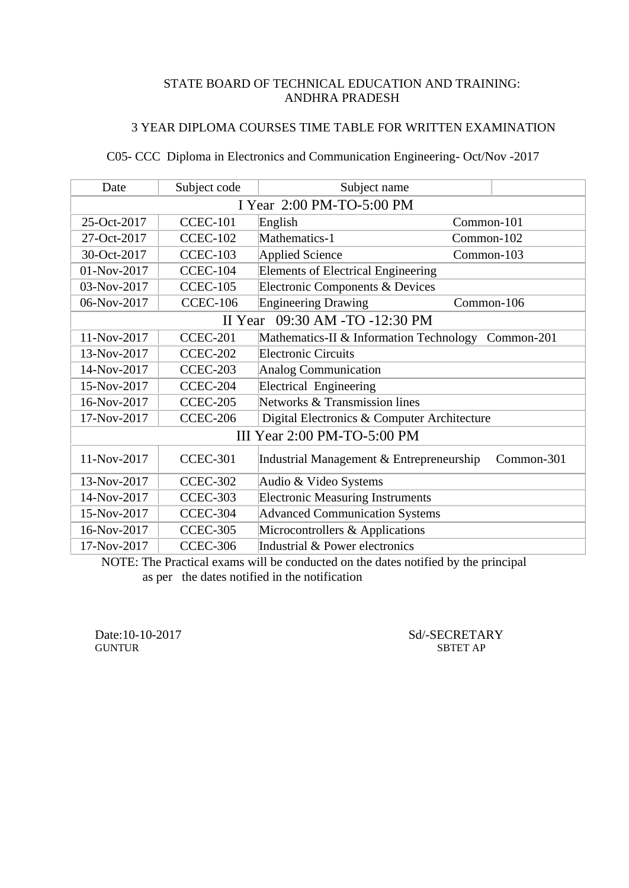## 3 YEAR DIPLOMA COURSES TIME TABLE FOR WRITTEN EXAMINATION

# C05- CCC Diploma in Electronics and Communication Engineering- Oct/Nov -2017

| Date                           | Subject code    | Subject name                                       |            |  |
|--------------------------------|-----------------|----------------------------------------------------|------------|--|
| I Year 2:00 PM-TO-5:00 PM      |                 |                                                    |            |  |
| 25-Oct-2017                    | <b>CCEC-101</b> | English                                            | Common-101 |  |
| 27-Oct-2017                    | <b>CCEC-102</b> | Mathematics-1<br>Common-102                        |            |  |
| 30-Oct-2017                    | <b>CCEC-103</b> | Applied Science<br>Common-103                      |            |  |
| 01-Nov-2017                    | CCEC-104        | <b>Elements of Electrical Engineering</b>          |            |  |
| 03-Nov-2017                    | <b>CCEC-105</b> | Electronic Components & Devices                    |            |  |
| 06-Nov-2017                    | <b>CCEC-106</b> | <b>Engineering Drawing</b><br>Common-106           |            |  |
| II Year 09:30 AM -TO -12:30 PM |                 |                                                    |            |  |
| 11-Nov-2017                    | <b>CCEC-201</b> | Mathematics-II & Information Technology Common-201 |            |  |
| 13-Nov-2017                    | <b>CCEC-202</b> | <b>Electronic Circuits</b>                         |            |  |
| 14-Nov-2017                    | CCEC-203        | Analog Communication                               |            |  |
| 15-Nov-2017                    | CCEC-204        | Electrical Engineering                             |            |  |
| 16-Nov-2017                    | <b>CCEC-205</b> | Networks & Transmission lines                      |            |  |
| 17-Nov-2017                    | <b>CCEC-206</b> | Digital Electronics & Computer Architecture        |            |  |
| III Year 2:00 PM-TO-5:00 PM    |                 |                                                    |            |  |
| 11-Nov-2017                    | <b>CCEC-301</b> | Industrial Management & Entrepreneurship           | Common-301 |  |
| 13-Nov-2017                    | <b>CCEC-302</b> | Audio & Video Systems                              |            |  |
| 14-Nov-2017                    | <b>CCEC-303</b> | <b>Electronic Measuring Instruments</b>            |            |  |
| 15-Nov-2017                    | CCEC-304        | <b>Advanced Communication Systems</b>              |            |  |
| 16-Nov-2017                    | <b>CCEC-305</b> | Microcontrollers & Applications                    |            |  |
| 17-Nov-2017                    | <b>CCEC-306</b> | Industrial & Power electronics                     |            |  |

 NOTE: The Practical exams will be conducted on the dates notified by the principal as per the dates notified in the notification

Date:10-10-2017 Sd/-SECRETARY SUNTUR SETET AP SBTET AP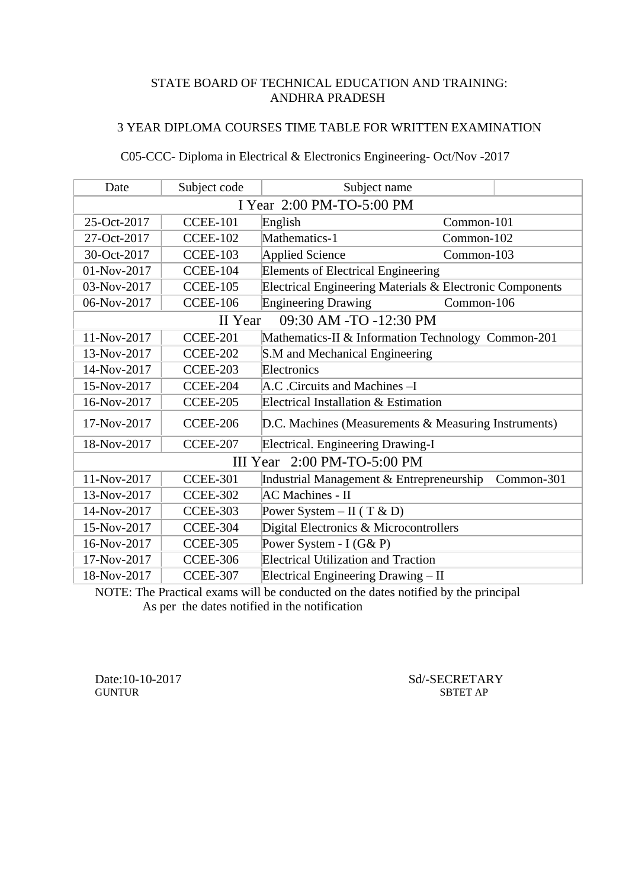## 3 YEAR DIPLOMA COURSES TIME TABLE FOR WRITTEN EXAMINATION

# C05-CCC- Diploma in Electrical & Electronics Engineering- Oct/Nov -2017

| Date                              | Subject code    | Subject name                                             |            |  |
|-----------------------------------|-----------------|----------------------------------------------------------|------------|--|
| I Year 2:00 PM-TO-5:00 PM         |                 |                                                          |            |  |
| 25-Oct-2017                       | <b>CCEE-101</b> | English                                                  | Common-101 |  |
| 27-Oct-2017                       | <b>CCEE-102</b> | Mathematics-1<br>Common-102                              |            |  |
| 30-Oct-2017                       | <b>CCEE-103</b> | <b>Applied Science</b><br>Common-103                     |            |  |
| 01-Nov-2017                       | <b>CCEE-104</b> | <b>Elements of Electrical Engineering</b>                |            |  |
| 03-Nov-2017                       | <b>CCEE-105</b> | Electrical Engineering Materials & Electronic Components |            |  |
| 06-Nov-2017                       | <b>CCEE-106</b> | <b>Engineering Drawing</b><br>Common-106                 |            |  |
| 09:30 AM -TO -12:30 PM<br>II Year |                 |                                                          |            |  |
| 11-Nov-2017                       | <b>CCEE-201</b> | Mathematics-II & Information Technology Common-201       |            |  |
| 13-Nov-2017                       | <b>CCEE-202</b> | S.M and Mechanical Engineering                           |            |  |
| 14-Nov-2017                       | CCEE-203        | Electronics                                              |            |  |
| 15-Nov-2017                       | <b>CCEE-204</b> | A.C. Circuits and Machines -I                            |            |  |
| 16-Nov-2017                       | <b>CCEE-205</b> | Electrical Installation & Estimation                     |            |  |
| 17-Nov-2017                       | <b>CCEE-206</b> | D.C. Machines (Measurements & Measuring Instruments)     |            |  |
| 18-Nov-2017                       | <b>CCEE-207</b> | Electrical. Engineering Drawing-I                        |            |  |
|                                   |                 | III Year 2:00 PM-TO-5:00 PM                              |            |  |
| 11-Nov-2017                       | <b>CCEE-301</b> | Industrial Management & Entrepreneurship                 | Common-301 |  |
| 13-Nov-2017                       | <b>CCEE-302</b> | <b>AC</b> Machines - II                                  |            |  |
| 14-Nov-2017                       | <b>CCEE-303</b> | Power System – II (T & D)                                |            |  |
| 15-Nov-2017                       | <b>CCEE-304</b> | Digital Electronics & Microcontrollers                   |            |  |
| 16-Nov-2017                       | <b>CCEE-305</b> | Power System - $I(G&P)$                                  |            |  |
| 17-Nov-2017                       | <b>CCEE-306</b> | Electrical Utilization and Traction                      |            |  |
| 18-Nov-2017                       | <b>CCEE-307</b> | Electrical Engineering Drawing - II                      |            |  |

NOTE: The Practical exams will be conducted on the dates notified by the principal As per the dates notified in the notification

Date:10-10-2017 Sd/-SECRETARY<br>GUNTUR SBTET AP **SBTET AP**